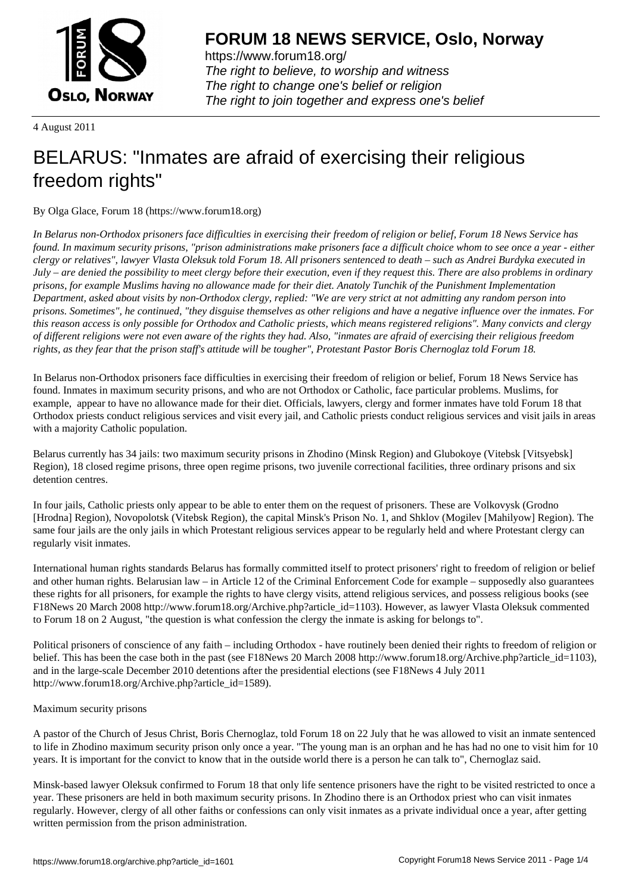

https://www.forum18.org/ The right to believe, to worship and witness The right to change one's belief or religion [The right to join together a](https://www.forum18.org/)nd express one's belief

4 August 2011

# [BELARUS: "Inm](https://www.forum18.org)ates are afraid of exercising their religious freedom rights"

By Olga Glace, Forum 18 (https://www.forum18.org)

*In Belarus non-Orthodox prisoners face difficulties in exercising their freedom of religion or belief, Forum 18 News Service has found. In maximum security prisons, "prison administrations make prisoners face a difficult choice whom to see once a year - either clergy or relatives", lawyer Vlasta Oleksuk told Forum 18. All prisoners sentenced to death – such as Andrei Burdyka executed in July – are denied the possibility to meet clergy before their execution, even if they request this. There are also problems in ordinary prisons, for example Muslims having no allowance made for their diet. Anatoly Tunchik of the Punishment Implementation Department, asked about visits by non-Orthodox clergy, replied: "We are very strict at not admitting any random person into prisons. Sometimes", he continued, "they disguise themselves as other religions and have a negative influence over the inmates. For this reason access is only possible for Orthodox and Catholic priests, which means registered religions". Many convicts and clergy of different religions were not even aware of the rights they had. Also, "inmates are afraid of exercising their religious freedom rights, as they fear that the prison staff's attitude will be tougher", Protestant Pastor Boris Chernoglaz told Forum 18.*

In Belarus non-Orthodox prisoners face difficulties in exercising their freedom of religion or belief, Forum 18 News Service has found. Inmates in maximum security prisons, and who are not Orthodox or Catholic, face particular problems. Muslims, for example, appear to have no allowance made for their diet. Officials, lawyers, clergy and former inmates have told Forum 18 that Orthodox priests conduct religious services and visit every jail, and Catholic priests conduct religious services and visit jails in areas with a majority Catholic population.

Belarus currently has 34 jails: two maximum security prisons in Zhodino (Minsk Region) and Glubokoye (Vitebsk [Vitsyebsk] Region), 18 closed regime prisons, three open regime prisons, two juvenile correctional facilities, three ordinary prisons and six detention centres.

In four jails, Catholic priests only appear to be able to enter them on the request of prisoners. These are Volkovysk (Grodno [Hrodna] Region), Novopolotsk (Vitebsk Region), the capital Minsk's Prison No. 1, and Shklov (Mogilev [Mahilyow] Region). The same four jails are the only jails in which Protestant religious services appear to be regularly held and where Protestant clergy can regularly visit inmates.

International human rights standards Belarus has formally committed itself to protect prisoners' right to freedom of religion or belief and other human rights. Belarusian law – in Article 12 of the Criminal Enforcement Code for example – supposedly also guarantees these rights for all prisoners, for example the rights to have clergy visits, attend religious services, and possess religious books (see F18News 20 March 2008 http://www.forum18.org/Archive.php?article\_id=1103). However, as lawyer Vlasta Oleksuk commented to Forum 18 on 2 August, "the question is what confession the clergy the inmate is asking for belongs to".

Political prisoners of conscience of any faith – including Orthodox - have routinely been denied their rights to freedom of religion or belief. This has been the case both in the past (see F18News 20 March 2008 http://www.forum18.org/Archive.php?article\_id=1103), and in the large-scale December 2010 detentions after the presidential elections (see F18News 4 July 2011 http://www.forum18.org/Archive.php?article\_id=1589).

### Maximum security prisons

A pastor of the Church of Jesus Christ, Boris Chernoglaz, told Forum 18 on 22 July that he was allowed to visit an inmate sentenced to life in Zhodino maximum security prison only once a year. "The young man is an orphan and he has had no one to visit him for 10 years. It is important for the convict to know that in the outside world there is a person he can talk to", Chernoglaz said.

Minsk-based lawyer Oleksuk confirmed to Forum 18 that only life sentence prisoners have the right to be visited restricted to once a year. These prisoners are held in both maximum security prisons. In Zhodino there is an Orthodox priest who can visit inmates regularly. However, clergy of all other faiths or confessions can only visit inmates as a private individual once a year, after getting written permission from the prison administration.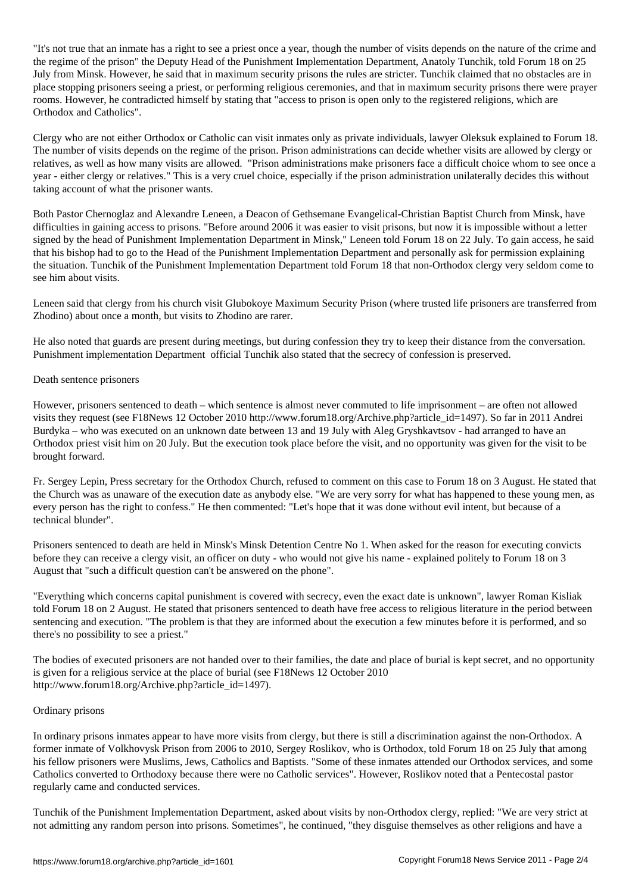"It's not true that an inmate has a right to see a priest once a year, though the number of visits depends on the nature of the crime and the regime of the prison" the Deputy Head of the Punishment Implementation Department, Anatoly Tunchik, told Forum 18 on 25 July from Minsk. However, he said that in maximum security prisons the rules are stricter. Tunchik claimed that no obstacles are in place stopping prisoners seeing a priest, or performing religious ceremonies, and that in maximum security prisons there were prayer rooms. However, he contradicted himself by stating that "access to prison is open only to the registered religions, which are Orthodox and Catholics".

Clergy who are not either Orthodox or Catholic can visit inmates only as private individuals, lawyer Oleksuk explained to Forum 18. The number of visits depends on the regime of the prison. Prison administrations can decide whether visits are allowed by clergy or relatives, as well as how many visits are allowed. "Prison administrations make prisoners face a difficult choice whom to see once a year - either clergy or relatives." This is a very cruel choice, especially if the prison administration unilaterally decides this without taking account of what the prisoner wants.

Both Pastor Chernoglaz and Alexandre Leneen, a Deacon of Gethsemane Evangelical-Christian Baptist Church from Minsk, have difficulties in gaining access to prisons. "Before around 2006 it was easier to visit prisons, but now it is impossible without a letter signed by the head of Punishment Implementation Department in Minsk," Leneen told Forum 18 on 22 July. To gain access, he said that his bishop had to go to the Head of the Punishment Implementation Department and personally ask for permission explaining the situation. Tunchik of the Punishment Implementation Department told Forum 18 that non-Orthodox clergy very seldom come to see him about visits.

Leneen said that clergy from his church visit Glubokoye Maximum Security Prison (where trusted life prisoners are transferred from Zhodino) about once a month, but visits to Zhodino are rarer.

He also noted that guards are present during meetings, but during confession they try to keep their distance from the conversation. Punishment implementation Department official Tunchik also stated that the secrecy of confession is preserved.

### Death sentence prisoners

However, prisoners sentenced to death – which sentence is almost never commuted to life imprisonment – are often not allowed visits they request (see F18News 12 October 2010 http://www.forum18.org/Archive.php?article\_id=1497). So far in 2011 Andrei Burdyka – who was executed on an unknown date between 13 and 19 July with Aleg Gryshkavtsov - had arranged to have an Orthodox priest visit him on 20 July. But the execution took place before the visit, and no opportunity was given for the visit to be brought forward.

Fr. Sergey Lepin, Press secretary for the Orthodox Church, refused to comment on this case to Forum 18 on 3 August. He stated that the Church was as unaware of the execution date as anybody else. "We are very sorry for what has happened to these young men, as every person has the right to confess." He then commented: "Let's hope that it was done without evil intent, but because of a technical blunder".

Prisoners sentenced to death are held in Minsk's Minsk Detention Centre No 1. When asked for the reason for executing convicts before they can receive a clergy visit, an officer on duty - who would not give his name - explained politely to Forum 18 on 3 August that "such a difficult question can't be answered on the phone".

"Everything which concerns capital punishment is covered with secrecy, even the exact date is unknown", lawyer Roman Kisliak told Forum 18 on 2 August. He stated that prisoners sentenced to death have free access to religious literature in the period between sentencing and execution. "The problem is that they are informed about the execution a few minutes before it is performed, and so there's no possibility to see a priest."

The bodies of executed prisoners are not handed over to their families, the date and place of burial is kept secret, and no opportunity is given for a religious service at the place of burial (see F18News 12 October 2010 http://www.forum18.org/Archive.php?article\_id=1497).

### Ordinary prisons

In ordinary prisons inmates appear to have more visits from clergy, but there is still a discrimination against the non-Orthodox. A former inmate of Volkhovysk Prison from 2006 to 2010, Sergey Roslikov, who is Orthodox, told Forum 18 on 25 July that among his fellow prisoners were Muslims, Jews, Catholics and Baptists. "Some of these inmates attended our Orthodox services, and some Catholics converted to Orthodoxy because there were no Catholic services". However, Roslikov noted that a Pentecostal pastor regularly came and conducted services.

Tunchik of the Punishment Implementation Department, asked about visits by non-Orthodox clergy, replied: "We are very strict at not admitting any random person into prisons. Sometimes", he continued, "they disguise themselves as other religions and have a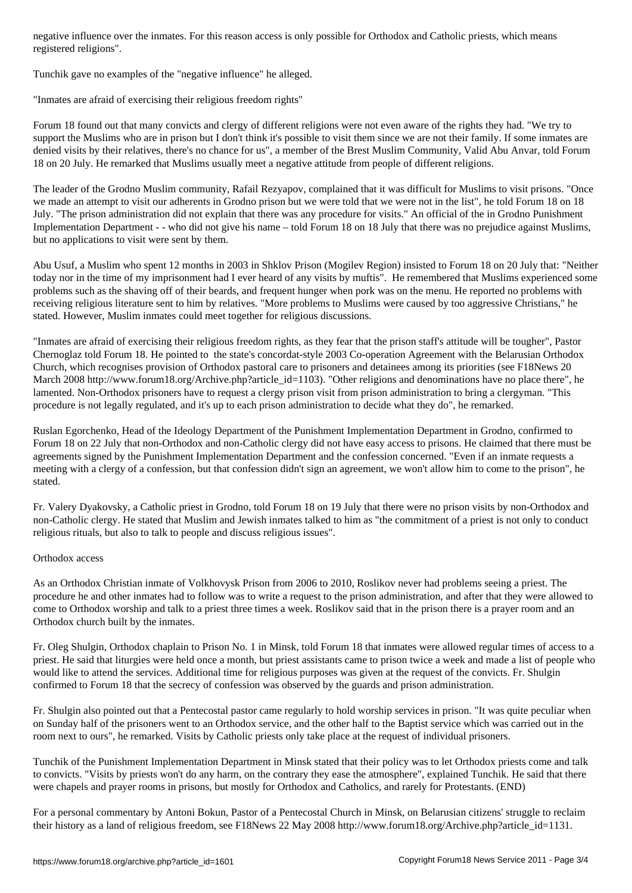registered religions".

Tunchik gave no examples of the "negative influence" he alleged.

"Inmates are afraid of exercising their religious freedom rights"

Forum 18 found out that many convicts and clergy of different religions were not even aware of the rights they had. "We try to support the Muslims who are in prison but I don't think it's possible to visit them since we are not their family. If some inmates are denied visits by their relatives, there's no chance for us", a member of the Brest Muslim Community, Valid Abu Anvar, told Forum 18 on 20 July. He remarked that Muslims usually meet a negative attitude from people of different religions.

The leader of the Grodno Muslim community, Rafail Rezyapov, complained that it was difficult for Muslims to visit prisons. "Once we made an attempt to visit our adherents in Grodno prison but we were told that we were not in the list", he told Forum 18 on 18 July. "The prison administration did not explain that there was any procedure for visits." An official of the in Grodno Punishment Implementation Department - - who did not give his name – told Forum 18 on 18 July that there was no prejudice against Muslims, but no applications to visit were sent by them.

Abu Usuf, a Muslim who spent 12 months in 2003 in Shklov Prison (Mogilev Region) insisted to Forum 18 on 20 July that: "Neither today nor in the time of my imprisonment had I ever heard of any visits by muftis". He remembered that Muslims experienced some problems such as the shaving off of their beards, and frequent hunger when pork was on the menu. He reported no problems with receiving religious literature sent to him by relatives. "More problems to Muslims were caused by too aggressive Christians," he stated. However, Muslim inmates could meet together for religious discussions.

"Inmates are afraid of exercising their religious freedom rights, as they fear that the prison staff's attitude will be tougher", Pastor Chernoglaz told Forum 18. He pointed to the state's concordat-style 2003 Co-operation Agreement with the Belarusian Orthodox Church, which recognises provision of Orthodox pastoral care to prisoners and detainees among its priorities (see F18News 20 March 2008 http://www.forum18.org/Archive.php?article\_id=1103). "Other religions and denominations have no place there", he lamented. Non-Orthodox prisoners have to request a clergy prison visit from prison administration to bring a clergyman. "This procedure is not legally regulated, and it's up to each prison administration to decide what they do", he remarked.

Ruslan Egorchenko, Head of the Ideology Department of the Punishment Implementation Department in Grodno, confirmed to Forum 18 on 22 July that non-Orthodox and non-Catholic clergy did not have easy access to prisons. He claimed that there must be agreements signed by the Punishment Implementation Department and the confession concerned. "Even if an inmate requests a meeting with a clergy of a confession, but that confession didn't sign an agreement, we won't allow him to come to the prison", he stated.

Fr. Valery Dyakovsky, a Catholic priest in Grodno, told Forum 18 on 19 July that there were no prison visits by non-Orthodox and non-Catholic clergy. He stated that Muslim and Jewish inmates talked to him as "the commitment of a priest is not only to conduct religious rituals, but also to talk to people and discuss religious issues".

## Orthodox access

As an Orthodox Christian inmate of Volkhovysk Prison from 2006 to 2010, Roslikov never had problems seeing a priest. The procedure he and other inmates had to follow was to write a request to the prison administration, and after that they were allowed to come to Orthodox worship and talk to a priest three times a week. Roslikov said that in the prison there is a prayer room and an Orthodox church built by the inmates.

Fr. Oleg Shulgin, Orthodox chaplain to Prison No. 1 in Minsk, told Forum 18 that inmates were allowed regular times of access to a priest. He said that liturgies were held once a month, but priest assistants came to prison twice a week and made a list of people who would like to attend the services. Additional time for religious purposes was given at the request of the convicts. Fr. Shulgin confirmed to Forum 18 that the secrecy of confession was observed by the guards and prison administration.

Fr. Shulgin also pointed out that a Pentecostal pastor came regularly to hold worship services in prison. "It was quite peculiar when on Sunday half of the prisoners went to an Orthodox service, and the other half to the Baptist service which was carried out in the room next to ours", he remarked. Visits by Catholic priests only take place at the request of individual prisoners.

Tunchik of the Punishment Implementation Department in Minsk stated that their policy was to let Orthodox priests come and talk to convicts. "Visits by priests won't do any harm, on the contrary they ease the atmosphere", explained Tunchik. He said that there were chapels and prayer rooms in prisons, but mostly for Orthodox and Catholics, and rarely for Protestants. (END)

For a personal commentary by Antoni Bokun, Pastor of a Pentecostal Church in Minsk, on Belarusian citizens' struggle to reclaim their history as a land of religious freedom, see F18News 22 May 2008 http://www.forum18.org/Archive.php?article\_id=1131.